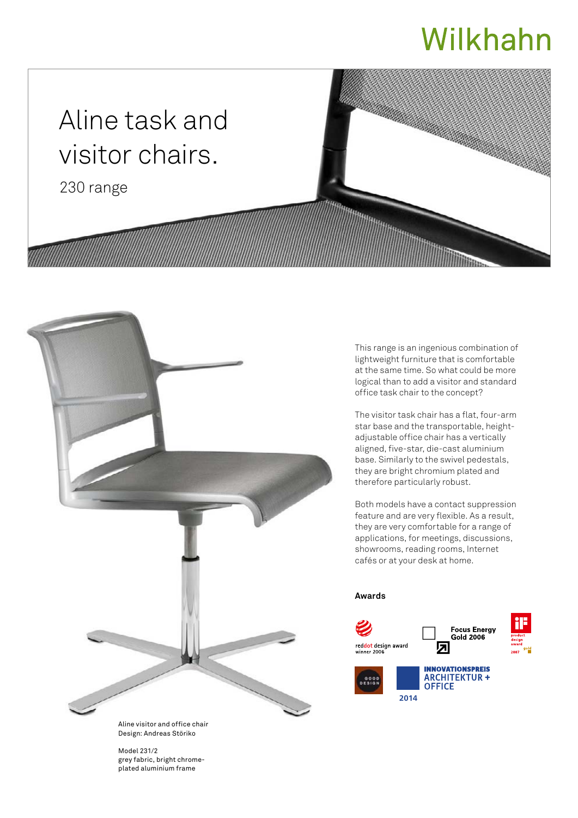## Wilkhahn

## Aline task and visitor chairs.

230 range



This range is an ingenious combination of lightweight furniture that is comfortable at the same time. So what could be more logical than to add a visitor and standard office task chair to the concept?

The visitor task chair has a flat, four-arm star base and the transportable, heightadjustable office chair has a vertically aligned, five-star, die-cast aluminium base. Similarly to the swivel pedestals, they are bright chromium plated and therefore particularly robust.

Both models have a contact suppression feature and are very flexible. As a result, they are very comfortable for a range of applications, for meetings, discussions, showrooms, reading rooms, Internet cafés or at your desk at home.

## **Awards**



Aline visitor and office chair Design: Andreas Störiko

Model 231/2 grey fabric, bright chromeplated aluminium frame